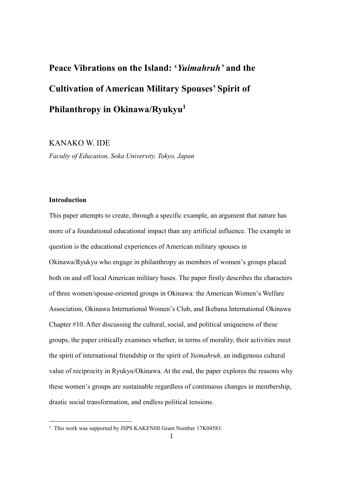# **Peace Vibrations on the Island: '***Yuimahruh'* **and the Cultivation of American Military Spouses' Spirit of Philanthropy in Okinawa/Ryukyu<sup>1</sup>**

## KANAKO W. IDE

*Faculty of Education, Soka University, Tokyo, Japan*

### **Introduction**

1

This paper attempts to create, through a specific example, an argument that nature has more of a foundational educational impact than any artificial influence. The example in question is the educational experiences of American military spouses in Okinawa/Ryukyu who engage in philanthropy as members of women's groups placed both on and off local American military bases. The paper firstly describes the characters of three women/spouse-oriented groups in Okinawa: the American Women's Welfare Association, Okinawa International Women's Club, and Ikebana International Okinawa Chapter #10. After discussing the cultural, social, and political uniqueness of these groups, the paper critically examines whether, in terms of morality, their activities meet the spirit of international friendship or the spirit of *Yuimahruh,* an indigenous cultural value of reciprocity in Ryukyu/Okinawa. At the end, the paper explores the reasons why these women's groups are sustainable regardless of continuous changes in membership, drastic social transformation, and endless political tensions.

<sup>&</sup>lt;sup>1</sup> This work was supported by JSPS KAKENHI Grant Number 17K04583.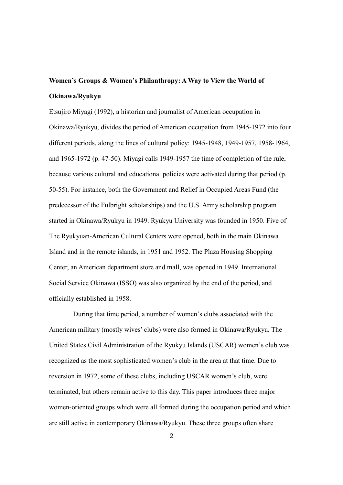# **Women's Groups & Women's Philanthropy: A Way to View the World of Okinawa/Ryukyu**

Etsujiro Miyagi (1992), a historian and journalist of American occupation in Okinawa/Ryukyu, divides the period of American occupation from 1945-1972 into four different periods, along the lines of cultural policy: 1945-1948, 1949-1957, 1958-1964, and 1965-1972 (p. 47-50). Miyagi calls 1949-1957 the time of completion of the rule, because various cultural and educational policies were activated during that period (p. 50-55). For instance, both the Government and Relief in Occupied Areas Fund (the predecessor of the Fulbright scholarships) and the U.S. Army scholarship program started in Okinawa/Ryukyu in 1949. Ryukyu University was founded in 1950. Five of The Ryukyuan-American Cultural Centers were opened, both in the main Okinawa Island and in the remote islands, in 1951 and 1952. The Plaza Housing Shopping Center, an American department store and mall, was opened in 1949. International Social Service Okinawa (ISSO) was also organized by the end of the period, and officially established in 1958.

During that time period, a number of women's clubs associated with the American military (mostly wives' clubs) were also formed in Okinawa/Ryukyu. The United States Civil Administration of the Ryukyu Islands (USCAR) women's club was recognized as the most sophisticated women's club in the area at that time. Due to reversion in 1972, some of these clubs, including USCAR women's club, were terminated, but others remain active to this day. This paper introduces three major women-oriented groups which were all formed during the occupation period and which are still active in contemporary Okinawa/Ryukyu. These three groups often share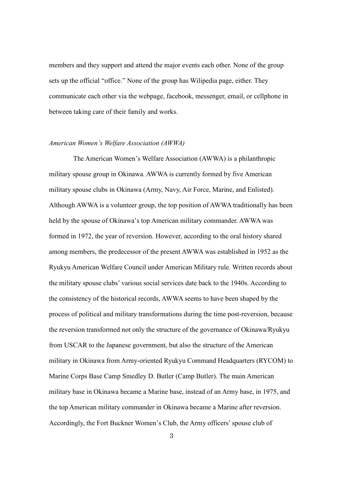members and they support and attend the major events each other. None of the group sets up the official "office." None of the group has Wilipedia page, either. They communicate each other via the webpage, facebook, messenger, email, or cellphone in between taking care of their family and works.

#### *American Women's Welfare Association (AWWA)*

The American Women's Welfare Association (AWWA) is a philanthropic military spouse group in Okinawa. AWWA is currently formed by five American military spouse clubs in Okinawa (Army, Navy, Air Force, Marine, and Enlisted). Although AWWA is a volunteer group, the top position of AWWA traditionally has been held by the spouse of Okinawa's top American military commander. AWWA was formed in 1972, the year of reversion. However, according to the oral history shared among members, the predecessor of the present AWWA was established in 1952 as the Ryukyu American Welfare Council under American Military rule. Written records about the military spouse clubs' various social services date back to the 1940s. According to the consistency of the historical records, AWWA seems to have been shaped by the process of political and military transformations during the time post-reversion, because the reversion transformed not only the structure of the governance of Okinawa/Ryukyu from USCAR to the Japanese government, but also the structure of the American military in Okinawa from Army-oriented Ryukyu Command Headquarters (RYCOM) to Marine Corps Base Camp Smedley D. Butler (Camp Butler). The main American military base in Okinawa became a Marine base, instead of an Army base, in 1975, and the top American military commander in Okinawa became a Marine after reversion. Accordingly, the Fort Buckner Women's Club, the Army officers'spouse club of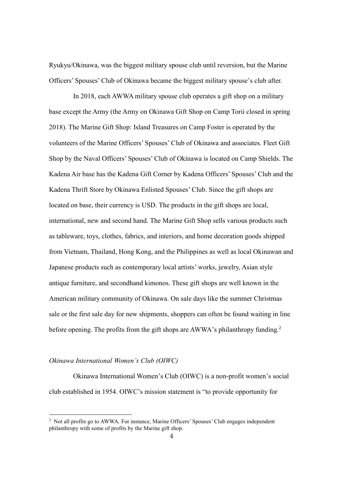Ryukyu/Okinawa, was the biggest military spouse club until reversion, but the Marine Officers' Spouses' Club of Okinawa became the biggest military spouse's club after.

In 2018, each AWWA military spouse club operates a gift shop on a military base except the Army (the Army on Okinawa Gift Shop on Camp Torii closed in spring 2018). The Marine Gift Shop: Island Treasures on Camp Foster is operated by the volunteers of the Marine Officers' Spouses' Club of Okinawa and associates. Fleet Gift Shop by the Naval Officers' Spouses' Club of Okinawa is located on Camp Shields. The Kadena Air base has the Kadena Gift Corner by Kadena Officers' Spouses' Club and the Kadena Thrift Store by Okinawa Enlisted Spouses' Club. Since the gift shops are located on base, their currency is USD. The products in the gift shops are local, international, new and second hand. The Marine Gift Shop sells various products such as tableware, toys, clothes, fabrics, and interiors, and home decoration goods shipped from Vietnam, Thailand, Hong Kong, and the Philippines as well as local Okinawan and Japanese products such as contemporary local artists' works, jewelry, Asian style antique furniture, and secondhand kimonos. These gift shops are well known in the American military community of Okinawa. On sale days like the summer Christmas sale or the first sale day for new shipments, shoppers can often be found waiting in line before opening. The profits from the gift shops are AWWA's philanthropy funding.<sup>2</sup>

#### *Okinawa International Women's Club (OIWC)*

1

Okinawa International Women's Club (OIWC) is a non-profit women's social club established in 1954. OIWC's mission statement is "to provide opportunity for

<sup>2</sup> Not all profits go to AWWA. For instance, Marine Officers' Spouses' Club engages independent philanthropy with some of profits by the Marine gift shop.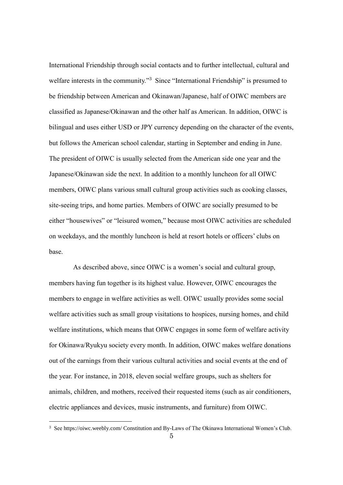International Friendship through social contacts and to further intellectual, cultural and welfare interests in the community."<sup>3</sup> Since "International Friendship" is presumed to be friendship between American and Okinawan/Japanese, half of OIWC members are classified as Japanese/Okinawan and the other half as American. In addition, OIWC is bilingual and uses either USD or JPY currency depending on the character of the events, but follows the American school calendar, starting in September and ending in June. The president of OIWC is usually selected from the American side one year and the Japanese/Okinawan side the next. In addition to a monthly luncheon for all OIWC members, OIWC plans various small cultural group activities such as cooking classes, site-seeing trips, and home parties. Members of OIWC are socially presumed to be either "housewives" or "leisured women," because most OIWC activities are scheduled on weekdays, and the monthly luncheon is held at resort hotels or officers' clubs on base.

As described above, since OIWC is a women's social and cultural group, members having fun together is its highest value. However, OIWC encourages the members to engage in welfare activities as well. OIWC usually provides some social welfare activities such as small group visitations to hospices, nursing homes, and child welfare institutions, which means that OIWC engages in some form of welfare activity for Okinawa/Ryukyu society every month. In addition, OIWC makes welfare donations out of the earnings from their various cultural activities and social events at the end of the year. For instance, in 2018, eleven social welfare groups, such as shelters for animals, children, and mothers, received their requested items (such as air conditioners, electric appliances and devices, music instruments, and furniture) from OIWC.

<sup>3</sup> Se[e https://oiwc.weebly.com/](https://oiwc.weebly.com/) Constitution and By-Laws of The Okinawa International Women's Club.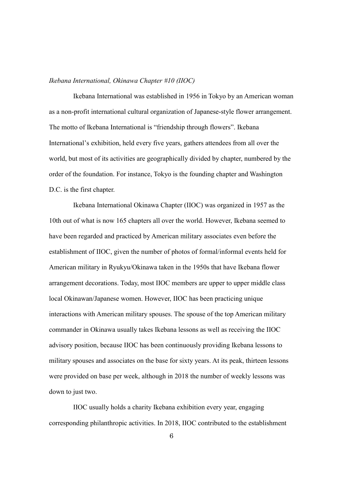#### *Ikebana International, Okinawa Chapter #10 (IIOC)*

Ikebana International was established in 1956 in Tokyo by an American woman as a non-profit international cultural organization of Japanese-style flower arrangement. The motto of Ikebana International is "friendship through flowers". Ikebana International's exhibition, held every five years, gathers attendees from all over the world, but most of its activities are geographically divided by chapter, numbered by the order of the foundation. For instance, Tokyo is the founding chapter and Washington D.C. is the first chapter.

Ikebana International Okinawa Chapter (IIOC) was organized in 1957 as the 10th out of what is now 165 chapters all over the world. However, Ikebana seemed to have been regarded and practiced by American military associates even before the establishment of IIOC, given the number of photos of formal/informal events held for American military in Ryukyu/Okinawa taken in the 1950s that have Ikebana flower arrangement decorations. Today, most IIOC members are upper to upper middle class local Okinawan/Japanese women. However, IIOC has been practicing unique interactions with American military spouses. The spouse of the top American military commander in Okinawa usually takes Ikebana lessons as well as receiving the IIOC advisory position, because IIOC has been continuously providing Ikebana lessons to military spouses and associates on the base for sixty years. At its peak, thirteen lessons were provided on base per week, although in 2018 the number of weekly lessons was down to just two.

IIOC usually holds a charity Ikebana exhibition every year, engaging corresponding philanthropic activities. In 2018, IIOC contributed to the establishment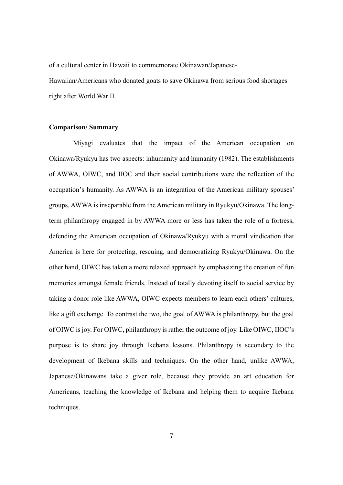of a cultural center in Hawaii to commemorate Okinawan/Japanese-

Hawaiian/Americans who donated goats to save Okinawa from serious food shortages right after World War II.

#### **Comparison/ Summary**

Miyagi evaluates that the impact of the American occupation on Okinawa/Ryukyu has two aspects: inhumanity and humanity (1982). The establishments of AWWA, OIWC, and IIOC and their social contributions were the reflection of the occupation's humanity. As AWWA is an integration of the American military spouses' groups, AWWA is inseparable from the American military in Ryukyu/Okinawa. The longterm philanthropy engaged in by AWWA more or less has taken the role of a fortress, defending the American occupation of Okinawa/Ryukyu with a moral vindication that America is here for protecting, rescuing, and democratizing Ryukyu/Okinawa. On the other hand, OIWC has taken a more relaxed approach by emphasizing the creation of fun memories amongst female friends. Instead of totally devoting itself to social service by taking a donor role like AWWA, OIWC expects members to learn each others' cultures, like a gift exchange. To contrast the two, the goal of AWWA is philanthropy, but the goal of OIWC is joy. For OIWC, philanthropy is rather the outcome of joy. Like OIWC, IIOC's purpose is to share joy through Ikebana lessons. Philanthropy is secondary to the development of Ikebana skills and techniques. On the other hand, unlike AWWA, Japanese/Okinawans take a giver role, because they provide an art education for Americans, teaching the knowledge of Ikebana and helping them to acquire Ikebana techniques.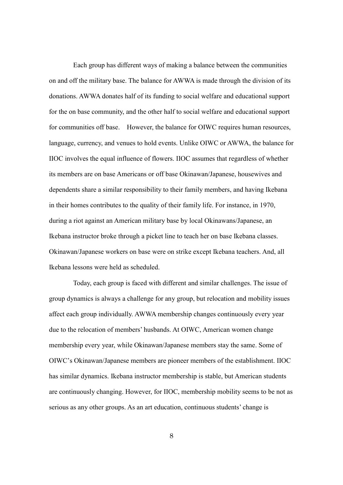Each group has different ways of making a balance between the communities on and off the military base. The balance for AWWA is made through the division of its donations. AWWA donates half of its funding to social welfare and educational support for the on base community, and the other half to social welfare and educational support for communities off base. However, the balance for OIWC requires human resources, language, currency, and venues to hold events. Unlike OIWC or AWWA, the balance for IIOC involves the equal influence of flowers. IIOC assumes that regardless of whether its members are on base Americans or off base Okinawan/Japanese, housewives and dependents share a similar responsibility to their family members, and having Ikebana in their homes contributes to the quality of their family life. For instance, in 1970, during a riot against an American military base by local Okinawans/Japanese, an Ikebana instructor broke through a picket line to teach her on base Ikebana classes. Okinawan/Japanese workers on base were on strike except Ikebana teachers. And, all Ikebana lessons were held as scheduled.

Today, each group is faced with different and similar challenges. The issue of group dynamics is always a challenge for any group, but relocation and mobility issues affect each group individually. AWWA membership changes continuously every year due to the relocation of members' husbands. At OIWC, American women change membership every year, while Okinawan/Japanese members stay the same. Some of OIWC's Okinawan/Japanese members are pioneer members of the establishment. IIOC has similar dynamics. Ikebana instructor membership is stable, but American students are continuously changing. However, for IIOC, membership mobility seems to be not as serious as any other groups. As an art education, continuous students' change is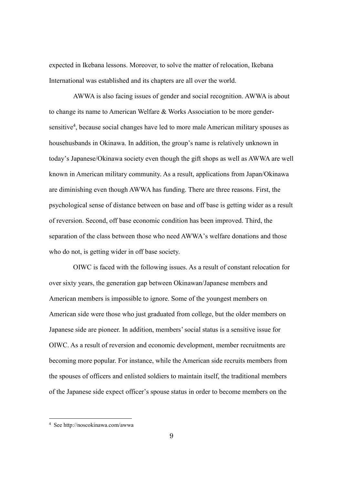expected in Ikebana lessons. Moreover, to solve the matter of relocation, Ikebana International was established and its chapters are all over the world.

AWWA is also facing issues of gender and social recognition. AWWA is about to change its name to American Welfare & Works Association to be more gendersensitive<sup>4</sup>, because social changes have led to more male American military spouses as househusbands in Okinawa. In addition, the group's name is relatively unknown in today's Japanese/Okinawa society even though the gift shops as well as AWWA are well known in American military community. As a result, applications from Japan/Okinawa are diminishing even though AWWA has funding. There are three reasons. First, the psychological sense of distance between on base and off base is getting wider as a result of reversion. Second, off base economic condition has been improved. Third, the separation of the class between those who need AWWA's welfare donations and those who do not, is getting wider in off base society.

OIWC is faced with the following issues. As a result of constant relocation for over sixty years, the generation gap between Okinawan/Japanese members and American members is impossible to ignore. Some of the youngest members on American side were those who just graduated from college, but the older members on Japanese side are pioneer. In addition, members' social status is a sensitive issue for OIWC. As a result of reversion and economic development, member recruitments are becoming more popular. For instance, while the American side recruits members from the spouses of officers and enlisted soldiers to maintain itself, the traditional members of the Japanese side expect officer's spouse status in order to become members on the

 $\overline{a}$ 

<sup>4</sup> See http://noscokinawa.com/awwa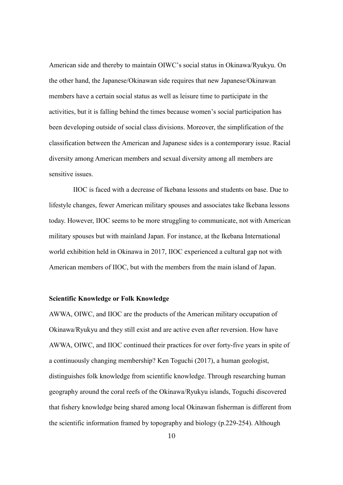American side and thereby to maintain OIWC's social status in Okinawa/Ryukyu. On the other hand, the Japanese/Okinawan side requires that new Japanese/Okinawan members have a certain social status as well as leisure time to participate in the activities, but it is falling behind the times because women's social participation has been developing outside of social class divisions. Moreover, the simplification of the classification between the American and Japanese sides is a contemporary issue. Racial diversity among American members and sexual diversity among all members are sensitive issues.

IIOC is faced with a decrease of Ikebana lessons and students on base. Due to lifestyle changes, fewer American military spouses and associates take Ikebana lessons today. However, IIOC seems to be more struggling to communicate, not with American military spouses but with mainland Japan. For instance, at the Ikebana International world exhibition held in Okinawa in 2017, IIOC experienced a cultural gap not with American members of IIOC, but with the members from the main island of Japan.

#### **Scientific Knowledge or Folk Knowledge**

AWWA, OIWC, and IIOC are the products of the American military occupation of Okinawa/Ryukyu and they still exist and are active even after reversion. How have AWWA, OIWC, and IIOC continued their practices for over forty-five years in spite of a continuously changing membership? Ken Toguchi (2017), a human geologist, distinguishes folk knowledge from scientific knowledge. Through researching human geography around the coral reefs of the Okinawa/Ryukyu islands, Toguchi discovered that fishery knowledge being shared among local Okinawan fisherman is different from the scientific information framed by topography and biology (p.229-254). Although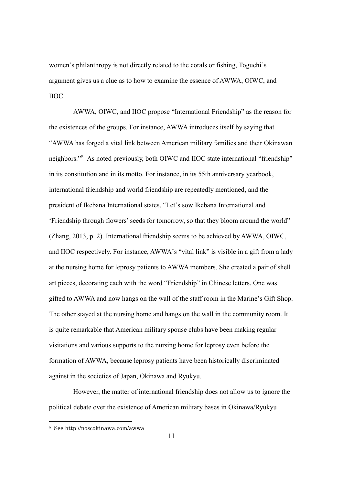women's philanthropy is not directly related to the corals or fishing, Toguchi's argument gives us a clue as to how to examine the essence of AWWA, OIWC, and IIOC.

AWWA, OIWC, and IIOC propose "International Friendship" as the reason for the existences of the groups. For instance, AWWA introduces itself by saying that "AWWA has forged a vital link between American military families and their Okinawan neighbors." <sup>5</sup> As noted previously, both OIWC and IIOC state international "friendship" in its constitution and in its motto. For instance, in its 55th anniversary yearbook, international friendship and world friendship are repeatedly mentioned, and the president of Ikebana International states, "Let's sow Ikebana International and 'Friendship through flowers' seeds for tomorrow, so that they bloom around the world" (Zhang, 2013, p. 2). International friendship seems to be achieved by AWWA, OIWC, and IIOC respectively. For instance, AWWA's "vital link" is visible in a gift from a lady at the nursing home for leprosy patients to AWWA members. She created a pair of shell art pieces, decorating each with the word "Friendship" in Chinese letters. One was gifted to AWWA and now hangs on the wall of the staff room in the Marine's Gift Shop. The other stayed at the nursing home and hangs on the wall in the community room. It is quite remarkable that American military spouse clubs have been making regular visitations and various supports to the nursing home for leprosy even before the formation of AWWA, because leprosy patients have been historically discriminated against in the societies of Japan, Okinawa and Ryukyu.

However, the matter of international friendship does not allow us to ignore the political debate over the existence of American military bases in Okinawa/Ryukyu

<sup>5</sup> See http://noscokinawa.com/awwa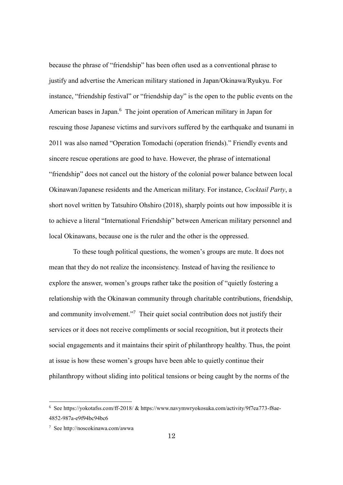because the phrase of "friendship" has been often used as a conventional phrase to justify and advertise the American military stationed in Japan/Okinawa/Ryukyu. For instance, "friendship festival" or "friendship day" is the open to the public events on the American bases in Japan.<sup>6</sup> The joint operation of American military in Japan for rescuing those Japanese victims and survivors suffered by the earthquake and tsunami in 2011 was also named "Operation Tomodachi (operation friends)." Friendly events and sincere rescue operations are good to have. However, the phrase of international "friendship" does not cancel out the history of the colonial power balance between local Okinawan/Japanese residents and the American military. For instance, *Cocktail Party*, a short novel written by Tatsuhiro Ohshiro (2018), sharply points out how impossible it is to achieve a literal "International Friendship" between American military personnel and local Okinawans, because one is the ruler and the other is the oppressed.

To these tough political questions, the women's groups are mute. It does not mean that they do not realize the inconsistency. Instead of having the resilience to explore the answer, women's groups rather take the position of "quietly fostering a relationship with the Okinawan community through charitable contributions, friendship, and community involvement."<sup>7</sup> Their quiet social contribution does not justify their services or it does not receive compliments or social recognition, but it protects their social engagements and it maintains their spirit of philanthropy healthy. Thus, the point at issue is how these women's groups have been able to quietly continue their philanthropy without sliding into political tensions or being caught by the norms of the

 $\overline{a}$ 

<sup>6</sup> See<https://yokotafss.com/ff-2018/> & https://www.navymwryokosuka.com/activity/9f7ea773-f8ae-4852-987a-e9f94bc94bc6

<sup>7</sup> See http://noscokinawa.com/awwa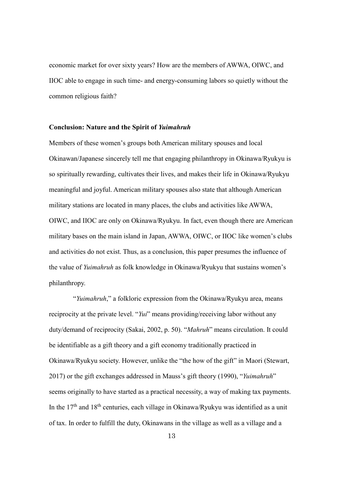economic market for over sixty years? How are the members of AWWA, OIWC, and IIOC able to engage in such time- and energy-consuming labors so quietly without the common religious faith?

#### **Conclusion: Nature and the Spirit of** *Yuimahruh*

Members of these women's groups both American military spouses and local Okinawan/Japanese sincerely tell me that engaging philanthropy in Okinawa/Ryukyu is so spiritually rewarding, cultivates their lives, and makes their life in Okinawa/Ryukyu meaningful and joyful. American military spouses also state that although American military stations are located in many places, the clubs and activities like AWWA, OIWC, and IIOC are only on Okinawa/Ryukyu. In fact, even though there are American military bases on the main island in Japan, AWWA, OIWC, or IIOC like women's clubs and activities do not exist. Thus, as a conclusion, this paper presumes the influence of the value of *Yuimahruh* as folk knowledge in Okinawa/Ryukyu that sustains women's philanthropy.

"*Yuimahruh*," a folkloric expression from the Okinawa/Ryukyu area, means reciprocity at the private level. "*Yui*" means providing/receiving labor without any duty/demand of reciprocity (Sakai, 2002, p. 50). "*Mahruh*" means circulation. It could be identifiable as a gift theory and a gift economy traditionally practiced in Okinawa/Ryukyu society. However, unlike the "the how of the gift" in Maori (Stewart, 2017) or the gift exchanges addressed in Mauss's gift theory (1990), "*Yuimahruh*" seems originally to have started as a practical necessity, a way of making tax payments. In the  $17<sup>th</sup>$  and  $18<sup>th</sup>$  centuries, each village in Okinawa/Ryukyu was identified as a unit of tax. In order to fulfill the duty, Okinawans in the village as well as a village and a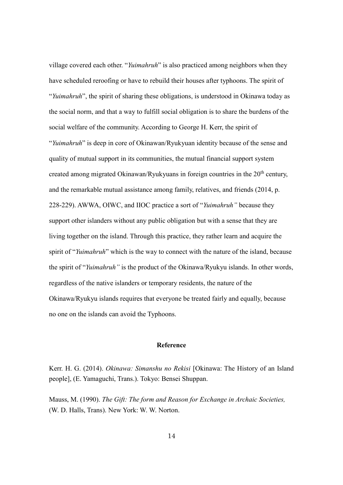village covered each other. "*Yuimahruh*" is also practiced among neighbors when they have scheduled reroofing or have to rebuild their houses after typhoons. The spirit of "*Yuimahruh*", the spirit of sharing these obligations, is understood in Okinawa today as the social norm, and that a way to fulfill social obligation is to share the burdens of the social welfare of the community. According to George H. Kerr, the spirit of "*Yuimahruh*" is deep in core of Okinawan/Ryukyuan identity because of the sense and quality of mutual support in its communities, the mutual financial support system created among migrated Okinawan/Ryukyuans in foreign countries in the  $20<sup>th</sup>$  century, and the remarkable mutual assistance among family, relatives, and friends (2014, p. 228-229). AWWA, OIWC, and IIOC practice a sort of "*Yuimahruh"* because they support other islanders without any public obligation but with a sense that they are living together on the island. Through this practice, they rather learn and acquire the spirit of "*Yuimahruh*" which is the way to connect with the nature of the island, because the spirit of "*Yuimahruh"* is the product of the Okinawa/Ryukyu islands. In other words, regardless of the native islanders or temporary residents, the nature of the Okinawa/Ryukyu islands requires that everyone be treated fairly and equally, because no one on the islands can avoid the Typhoons.

#### **Reference**

Kerr. H. G. (2014). *Okinawa: Simanshu no Rekisi* [Okinawa: The History of an Island people], (E. Yamaguchi, Trans.). Tokyo: Bensei Shuppan.

Mauss, M. (1990). *The Gift: The form and Reason for Exchange in Archaic Societies,*  (W. D. Halls, Trans). New York: W. W. Norton.